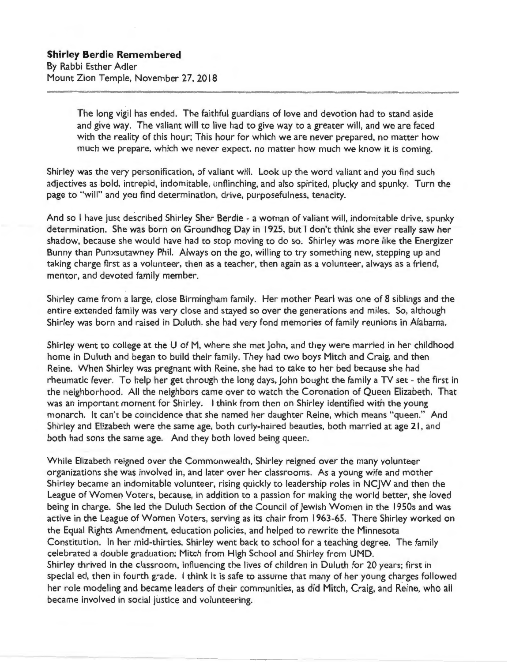The long vigil has ended. The faithful guardians of love and devotion had to stand aside and give way. The valiant will to live had to give way to a greater will, and we are faced with the reality of this hour; This hour for which we are never prepared, no matter how much we prepare, which we never expect, no matter how much we know it is coming.

Shirley was the very personification, of valiant will. Look up the word valiant and you find such adjectives as bold, intrepid, indomitable, unflinching, and also spirited, plucky and spunky. Turn the page to "will" and you find determination, drive, purposefulness, tenacity.

And so I have just described Shirley Sher Berdie - a woman of valiant will, indomitable drive, spunky determination. She was born on Groundhog Day in 1925, but I don't think she ever really saw her shadow, because she would have had to stop moving to do so. Shirley was more like the Energizer Bunny than Punxsutawney Phil. Always on the go, willing to try something new, stepping up and taking charge first as a volunteer, then as a teacher, then again as a volunteer, always as a friend, mentor, and devoted family member.

Shirley came from a large, close Birmingham family. Her mother Pearl was one of 8 siblings and the entire extended family was very close and stayed so over the generations and miles. So, although Shirley was born and raised in Duluth, she had very fond memories of family reunions in Alabama.

Shirley went to college at the U of M, where she met John, and they were married in her childhood home in Duluth and began to build their family. They had two boys Mitch and Craig, and then Reine. When Shirley was pregnant with Reine, she had to take to her bed because she had rheumatic fever. To help her get through the long days, John bought the family a TV set - the first in the neighborhood. All the neighbors came over to watch the Coronation of Queen Elizabeth. That was an important moment for Shirley. I think from then on Shirley identified with the young monarch. It can't be coincidence that she named her daughter Reine, which means " queen." And Shirley and Elizabeth were the same age, both curly-haired beauties, both married at age 21, and both had sons the same age. And they both loved being queen.

While Elizabeth reigned over the Commonwealth, Shirley reigned over the many volunteer organizations she was involved in, and later over her classrooms. As a young wife and mother Shirley became an indomitable volunteer, rising quickly to leadership roles in NCJW and then the League of Women Voters, because, in addition to a passion for making the world better, she loved being in charge. She led the Duluth Section of the Council of Jewish Women in the 1950s and was active in the League of Women Voters, serving as its chair from 1963-65. There Shirley worked on the Equal Rights Amendment, education policies, and helped to rewrite the Minnesota Constitution. In her mid-thirties, Shirley went back to school for a teaching degree. The family celebrated a double graduation: Mitch from High School and Shirley from UMD. Shirley thrived in the classroom, influencing the lives of children in Duluth for 20 years; first in special ed, then in fourth grade. I think it is safe to assume that many of her young charges followed her role modeling and became leaders of their communities, as did Mitch, Craig, and Reine, who all became involved in social justice and volunteering.